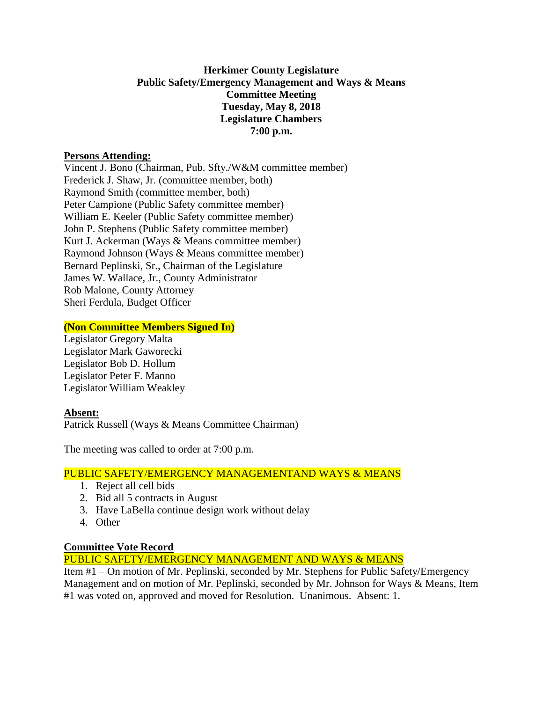### **Herkimer County Legislature Public Safety/Emergency Management and Ways & Means Committee Meeting Tuesday, May 8, 2018 Legislature Chambers 7:00 p.m.**

#### **Persons Attending:**

Vincent J. Bono (Chairman, Pub. Sfty./W&M committee member) Frederick J. Shaw, Jr. (committee member, both) Raymond Smith (committee member, both) Peter Campione (Public Safety committee member) William E. Keeler (Public Safety committee member) John P. Stephens (Public Safety committee member) Kurt J. Ackerman (Ways & Means committee member) Raymond Johnson (Ways & Means committee member) Bernard Peplinski, Sr., Chairman of the Legislature James W. Wallace, Jr., County Administrator Rob Malone, County Attorney Sheri Ferdula, Budget Officer

### **(Non Committee Members Signed In)**

Legislator Gregory Malta Legislator Mark Gaworecki Legislator Bob D. Hollum Legislator Peter F. Manno Legislator William Weakley

#### **Absent:**

Patrick Russell (Ways & Means Committee Chairman)

The meeting was called to order at 7:00 p.m.

# PUBLIC SAFETY/EMERGENCY MANAGEMENTAND WAYS & MEANS

- 1. Reject all cell bids
- 2. Bid all 5 contracts in August
- 3. Have LaBella continue design work without delay
- 4. Other

# **Committee Vote Record**

PUBLIC SAFETY/EMERGENCY MANAGEMENT AND WAYS & MEANS

Item #1 – On motion of Mr. Peplinski, seconded by Mr. Stephens for Public Safety/Emergency Management and on motion of Mr. Peplinski, seconded by Mr. Johnson for Ways & Means, Item #1 was voted on, approved and moved for Resolution. Unanimous. Absent: 1.